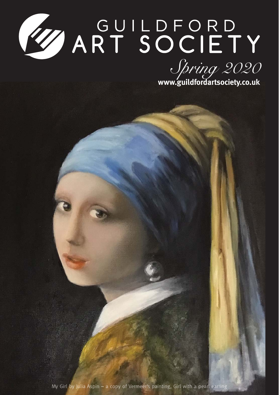# WART SOCIETY



My Girl by Julia Aspin - a copy of Vermeer's painting, Girl with a pearl earring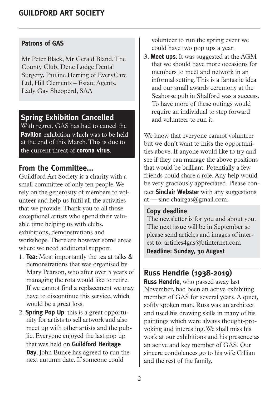#### **Patrons of GAS**

Mr Peter Black, Mr Gerald Bland, The County Club, Dene Lodge Dental Surgery, Pauline Herring of EveryCare Ltd, Hill Clements – Estate Agents, Lady Gay Shepperd, SAA

## **Spring Exhibition Cancelled**

With regret, GAS has had to cancel the **Pavilion** exhibition which was to be held at the end of this March. This is due to the current threat of **corona virus**.

# **From the Committee...**

Guildford Art Society is a charity with a small committee of only ten people. We rely on the generosity of members to volunteer and help us fulfil all the activities that we provide. Thank you to all those exceptional artists who spend their valuable time helping us with clubs, exhibitions, demonstrations and workshops. There are however some areas where we need additional support.

- 1. **Tea:** Most importantly the tea at talks & demonstrations that was organised by Mary Pearson, who after over 5 years of managing the rota would like to retire. If we cannot find a replacement we may have to discontinue this service, which would be a great loss.
- 2. **Spring Pop Up**: this is a great opportunity for artists to sell artwork and also meet up with other artists and the public. Everyone enjoyed the last pop up that was held on **Guildford Heritage Day**. John Bunce has agreed to run the next autumn date. If someone could

volunteer to run the spring event we could have two pop ups a year.

3. **Meet ups**: It was suggested at the AGM that we should have more occasions for members to meet and network in an informal setting. This is a fantastic idea and our small awards ceremony at the Seahorse pub in Shalford was a success. To have more of these outings would require an individual to step forward and volunteer to run it.

We know that everyone cannot volunteer but we don't want to miss the opportunities above. If anyone would like to try and see if they can manage the above positions that would be brilliant. Potentially a few friends could share a role. Any help would be very graciously appreciated. Please contact **Sinclair Webster** with any suggestions at — sinc.chairgas@gmail.com.

#### **Copy deadline**

The newsletter is for you and about you. The next issue will be in September so please send articles and images of interest to: articles4gas@btinternet.com **Deadline: Sunday, 30 August**

# **Russ Hendrie (1938-2019)**

**Russ Hendrie**, who passed away last November, had been an active exhibiting member of GAS for several years. A quiet, softly spoken man, Russ was an architect and used his drawing skills in many of his paintings which were always thought-provoking and interesting. We shall miss his work at our exhibitions and his presence as an active and key member of GAS. Our sincere condolences go to his wife Gillian and the rest of the family.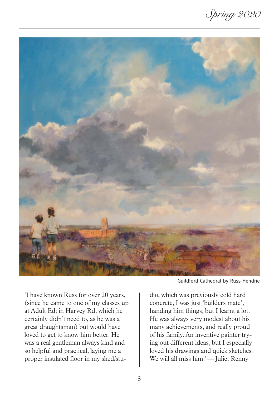Spring 2020



'I have known Russ for over 20 years, (since he came to one of my classes up at Adult Ed: in Harvey Rd, which he certainly didn't need to, as he was a great draughtsman) but would have loved to get to know him better. He was a real gentleman always kind and so helpful and practical, laying me a proper insulated floor in my shed/stu-

Guildford Cathedral by Russ Hendrie

dio, which was previously cold hard concrete, I was just 'builders mate', handing him things, but I learnt a lot. He was always very modest about his many achievements, and really proud of his family. An inventive painter trying out different ideas, but I especially loved his drawings and quick sketches. We will all miss him.' — Juliet Renny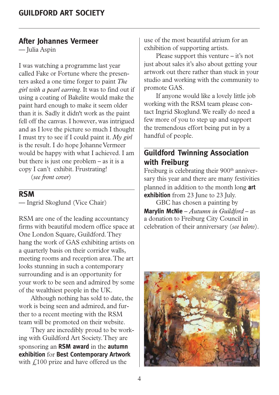#### **After Johannes Vermeer**

— Julia Aspin

I was watching a programme last year called Fake or Fortune where the presenters asked a one time forger to paint *The girl with a pearl earring*. It was to find out if using a coating of Bakelite would make the paint hard enough to make it seem older than it is. Sadly it didn't work as the paint fell off the canvas. I however, was intrigued and as I love the picture so much I thought I must try to see if I could paint it. *My girl* is the result. I do hope Johanne Vermeer would be happy with what I achieved. I am but there is just one problem – as it is a copy I can't exhibit. Frustrating!

(*see front cover*)

## **RSM**

— Ingrid Skoglund (Vice Chair)

RSM are one of the leading accountancy firms with beautiful modern office space at One London Square, Guildford. They hang the work of GAS exhibiting artists on a quarterly basis on their corridor walls, meeting rooms and reception area. The art looks stunning in such a contemporary surrounding and is an opportunity for your work to be seen and admired by some of the wealthiest people in the UK.

Although nothing has sold to date, the work is being seen and admired, and further to a recent meeting with the RSM team will be promoted on their website.

They are incredibly proud to be working with Guildford Art Society. They are sponsoring an **RSM award** in the **autumn exhibition** for **Best Contemporary Artwork** with  $f(100)$  prize and have offered us the

use of the most beautiful atrium for an exhibition of supporting artists.

Please support this venture – it's not just about sales it's also about getting your artwork out there rather than stuck in your studio and working with the community to promote GAS.

If anyone would like a lovely little job working with the RSM team please contact Ingrid Skoglund. We really do need a few more of you to step up and support the tremendous effort being put in by a handful of people.

# **Guildford Twinning Association with Freiburg**

Freiburg is celebrating their 900<sup>th</sup> anniversary this year and there are many festivities planned in addition to the month long **art exhibition** from 23 June to 23 July.

GBC has chosen a painting by **Marylin McNie** – *Autumn in Guildford* – as a donation to Freiburg City Council in celebration of their anniversary (*see below*).

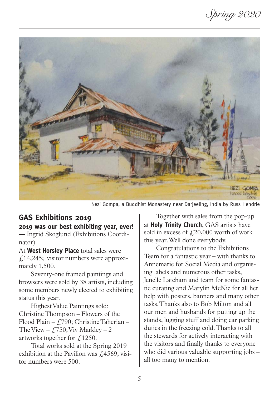Spring 2020



Nezi Gompa, a Buddhist Monastery near Darjeeling, India by Russ Hendrie

# **GAS Exhibitions 2019**

**2019 was our best exhibiting year, ever!** — Ingrid Skoglund (Exhibitions Coordinator)

At **West Horsley Place** total sales were £14,245; visitor numbers were approximately 1,500.

Seventy-one framed paintings and browsers were sold by 38 artists, including some members newly elected to exhibiting status this year.

Highest Value Paintings sold: Christine Thompson – Flowers of the Flood Plain –  $f(790;$  Christine Taherian – The View –  $f$ , 750; Viv Markley – 2 artworks together for  $f(1250)$ .

Total works sold at the Spring 2019 exhibition at the Pavilion was  $\ell$ 4569; visitor numbers were 500.

Together with sales from the pop-up at **Holy Trinity Church**, GAS artists have sold in excess of  $f(20,000)$  worth of work this year. Well done everybody.

Congratulations to the Exhibitions Team for a fantastic year – with thanks to Annemarie for Social Media and organising labels and numerous other tasks, Jenelle Latcham and team for some fantastic curating and Marylin McNie for all her help with posters, banners and many other tasks. Thanks also to Bob Milton and all our men and husbands for putting up the stands, lugging stuff and doing car parking duties in the freezing cold. Thanks to all the stewards for actively interacting with the visitors and finally thanks to everyone who did various valuable supporting jobs – all too many to mention.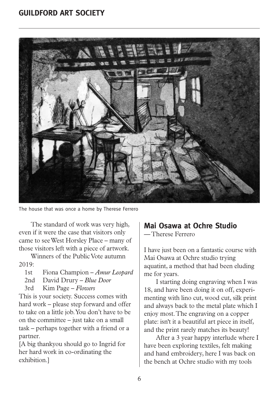

The house that was once a home by Therese Ferrero

The standard of work was very high, even if it were the case that visitors only came to see West Horsley Place – many of those visitors left with a piece of artwork.

Winners of the Public Vote autumn 2019:

- 1st Fiona Champion *Amur Leopard*
- 2nd David Drury *Blue Door*
- 3rd Kim Page *Flowers*

This is your society. Success comes with hard work – please step forward and offer to take on a little job. You don't have to be on the committee – just take on a small task – perhaps together with a friend or a partner.

[A big thankyou should go to Ingrid for her hard work in co-ordinating the exhibition.]

# **Mai Osawa at Ochre Studio**

— Therese Ferrero

I have just been on a fantastic course with Mai Osawa at Ochre studio trying aquatint, a method that had been eluding me for years.

I starting doing engraving when I was 18, and have been doing it on off, experimenting with lino cut, wood cut, silk print and always back to the metal plate which I enjoy most. The engraving on a copper plate: isn't it a beautiful art piece in itself, and the print rarely matches its beauty!

After a 3 year happy interlude where I have been exploring textiles, felt making and hand embroidery, here I was back on the bench at Ochre studio with my tools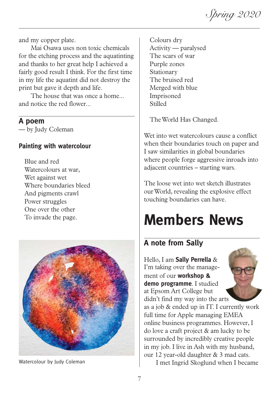Spring 2020

and my copper plate.

Mai Osawa uses non toxic chemicals for the etching process and the aquatinting and thanks to her great help I achieved a fairly good result I think. For the first time in my life the aquatint did not destroy the print but gave it depth and life.

The house that was once a home... and notice the red flower...

#### **A poem**

— by Judy Coleman

#### **Painting with watercolour**

Blue and red Watercolours at war, Wet against wet Where boundaries bleed And pigments crawl Power struggles One over the other To invade the page.



Watercolour by Judy Coleman

Colours dry Activity — paralysed The scars of war Purple zones Stationary The bruised red Merged with blue Imprisoned Stilled

The World Has Changed.

Wet into wet watercolours cause a conflict when their boundaries touch on paper and I saw similarities in global boundaries where people forge aggressive inroads into adjacent countries – starting wars.

The loose wet into wet sketch illustrates our World, revealing the explosive effect touching boundaries can have.

# **Members News**

# **A note from Sally**

Hello, I am **Sally Perrella** & I'm taking over the management of our **workshop & demo programme**. I studied at Epsom Art College but didn't find my way into the arts



as a job & ended up in IT. I currently work full time for Apple managing EMEA online business programmes. However, I do love a craft project & am lucky to be surrounded by incredibly creative people in my job. I live in Ash with my husband, our 12 year-old daughter & 3 mad cats.

I met Ingrid Skoglund when I became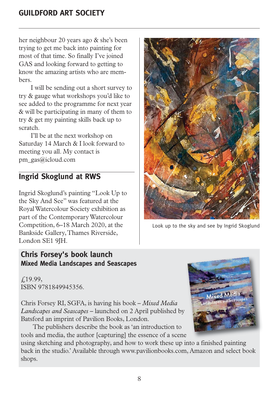her neighbour 20 years ago & she's been trying to get me back into painting for most of that time. So finally I've joined GAS and looking forward to getting to know the amazing artists who are members.

I will be sending out a short survey to try & gauge what workshops you'd like to see added to the programme for next year & will be participating in many of them to try & get my painting skills back up to scratch.

I'll be at the next workshop on Saturday 14 March & I look forward to meeting you all. My contact is pm\_gas@icloud.com

# **Ingrid Skoglund at RWS**

Ingrid Skoglund's painting "Look Up to the Sky And See" was featured at the Royal Watercolour Society exhibition as part of the Contemporary Watercolour Competition, 6–18 March 2020, at the Bankside Gallery, Thames Riverside, London SE1 9JH.

#### **Chris Forsey's book launch Mixed Media Landscapes and Seascapes**

£19.99, ISBN 9781849945356.

Chris Forsey RI, SGFA, is having his book – *Mixed Media Landscapes and Seascapes* – launched on 2 April published by Batsford an imprint of Pavilion Books, London.

The publishers describe the book as 'an introduction to tools and media, the author [capturing] the essence of a scene

using sketching and photography, and how to work these up into a finished painting back in the studio.' Available through www.pavilionbooks.com, Amazon and select book shops.



Look up to the sky and see by Ingrid Skoglund

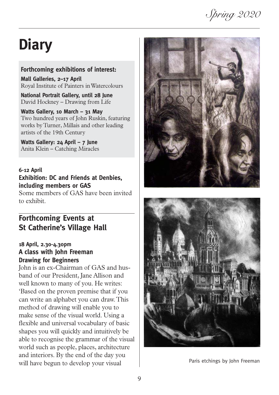# Spring 2020

# **Diary**

#### **Forthcoming exhibitions of interest:**

**Mall Galleries, 2–17 April** Royal Institute of Painters in Watercolours

**National Portrait Gallery, until 28 June** David Hockney – Drawing from Life

**Watts Gallery, 10 March – 31 May** Two hundred years of John Ruskin, featuring works by Turner, Millais and other leading artists of the 19th Century

**Watts Gallery: 24 April – 7 June** Anita Klein – Catching Miracles

#### **6-12 April**

#### **Exhibition: DC and Friends at Denbies, including members or GAS**

Some members of GAS have been invited to exhibit.

# **Forthcoming Events at St Catherine's Village Hall**

#### **18 April, 2.30-4.30pm A class with John Freeman Drawing for Beginners**

John is an ex-Chairman of GAS and husband of our President, Jane Allison and well known to many of you. He writes: 'Based on the proven premise that if you can write an alphabet you can draw. This method of drawing will enable you to make sense of the visual world. Using a flexible and universal vocabulary of basic shapes you will quickly and intuitively be able to recognise the grammar of the visual world such as people, places, architecture and interiors. By the end of the day you will have begun to develop your visual





Paris etchings by John Freeman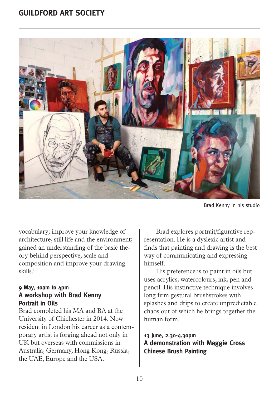

Brad Kenny in his studio

vocabulary; improve your knowledge of architecture, still life and the environment; gained an understanding of the basic theory behind perspective, scale and composition and improve your drawing skills.'

#### **9 May, 10am to 4pm A workshop with Brad Kenny Portrait in Oils**

Brad completed his MA and BA at the University of Chichester in 2014. Now resident in London his career as a contemporary artist is forging ahead not only in UK but overseas with commissions in Australia, Germany, Hong Kong, Russia, the UAE, Europe and the USA.

Brad explores portrait/figurative representation. He is a dyslexic artist and finds that painting and drawing is the best way of communicating and expressing himself.

His preference is to paint in oils but uses acrylics, watercolours, ink, pen and pencil. His instinctive technique involves long firm gestural brushstrokes with splashes and drips to create unpredictable chaos out of which he brings together the human form.

#### **13 June, 2.30-4.30pm A demonstration with Maggie Cross Chinese Brush Painting**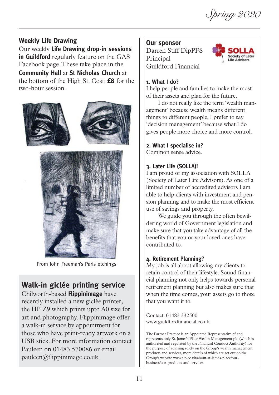Spring 2020

#### **Weekly Life Drawing**

Our weekly **Life Drawing drop-in sessions in Guildford** regularly feature on the GAS Facebook page. These take place in the **Community Hall** at **St Nicholas Church** at the bottom of the High St. Cost: **£8** for the two-hour session.



From John Freeman's Paris etchings

# **Walk-in giclée printing service**

Chilworth-based **Flippinimage** have recently installed a new giclée printer, the HP Z9 which prints upto A0 size for art and photography. Flippinimage offer a walk-in service by appointment for those who have print-ready artwork on a USB stick. For more information contact Pauleen on 01483 570086 or email pauleen@flippinimage.co.uk.

#### **Our sponsor**

Darren Stiff DipPFS Principal Guildford Financial



#### **1. What I do?**

I help people and families to make the most of their assets and plan for the future.

I do not really like the term 'wealth management' because wealth means different things to different people, I prefer to say 'decision management' because what I do gives people more choice and more control.

#### **2. What I specialise in?**

Common sense advice.

#### **3. Later Life (SOLLA)!**

I am proud of my association with SOLLA (Society of Later Life Advisors). As one of a limited number of accredited advisors I am able to help clients with investment and pension planning and to make the most efficient use of savings and property.

We guide you through the often bewildering world of Government legislation and make sure that you take advantage of all the benefits that you or your loved ones have contributed to.

#### **4. Retirement Planning?**

My job is all about allowing my clients to retain control of their lifestyle. Sound financial planning not only helps towards personal retirement planning but also makes sure that when the time comes, your assets go to those that you want it to.

Contact: 01483 332500 www.guildfordfinancial.co.uk

The Partner Practice is an Appointed Representative of and represents only St. James's Place Wealth Management plc (which is authorised and regulated by the Financial Conduct Authority) for the purpose of advising solely on the Group's wealth management products and services, more details of which are set out on the Group's website www.sjp.co.uk/about-st-james-place/ourbusiness/our-products-and-services.